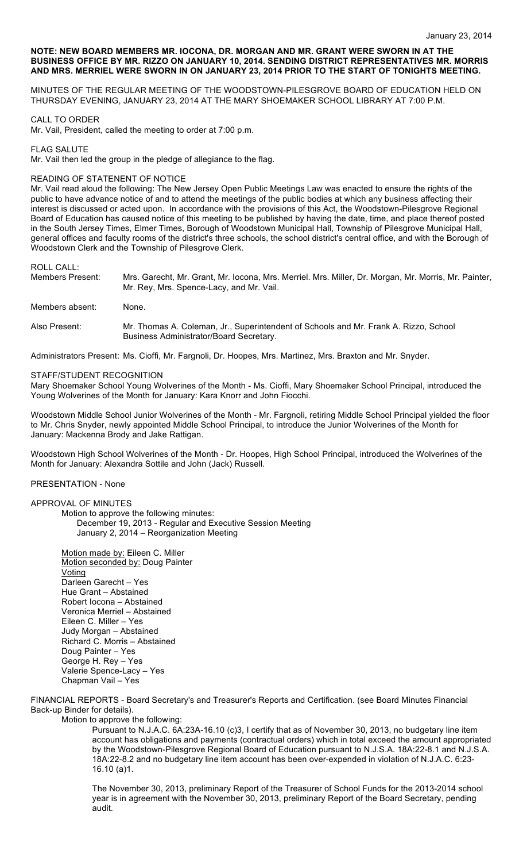# **NOTE: NEW BOARD MEMBERS MR. IOCONA, DR. MORGAN AND MR. GRANT WERE SWORN IN AT THE BUSINESS OFFICE BY MR. RIZZO ON JANUARY 10, 2014. SENDING DISTRICT REPRESENTATIVES MR. MORRIS AND MRS. MERRIEL WERE SWORN IN ON JANUARY 23, 2014 PRIOR TO THE START OF TONIGHTS MEETING.**

MINUTES OF THE REGULAR MEETING OF THE WOODSTOWN-PILESGROVE BOARD OF EDUCATION HELD ON THURSDAY EVENING, JANUARY 23, 2014 AT THE MARY SHOEMAKER SCHOOL LIBRARY AT 7:00 P.M.

## CALL TO ORDER

Mr. Vail, President, called the meeting to order at 7:00 p.m.

FLAG SALUTE

Mr. Vail then led the group in the pledge of allegiance to the flag.

### READING OF STATENENT OF NOTICE

Mr. Vail read aloud the following: The New Jersey Open Public Meetings Law was enacted to ensure the rights of the public to have advance notice of and to attend the meetings of the public bodies at which any business affecting their interest is discussed or acted upon. In accordance with the provisions of this Act, the Woodstown-Pilesgrove Regional Board of Education has caused notice of this meeting to be published by having the date, time, and place thereof posted in the South Jersey Times, Elmer Times, Borough of Woodstown Municipal Hall, Township of Pilesgrove Municipal Hall, general offices and faculty rooms of the district's three schools, the school district's central office, and with the Borough of Woodstown Clerk and the Township of Pilesgrove Clerk.

### ROLL CALL:

| Members Present: | Mrs. Garecht, Mr. Grant, Mr. Iocona, Mrs. Merriel. Mrs. Miller, Dr. Morgan, Mr. Morris, Mr. Painter,<br>Mr. Rey, Mrs. Spence-Lacy, and Mr. Vail. |
|------------------|--------------------------------------------------------------------------------------------------------------------------------------------------|
| Members absent:  | None.                                                                                                                                            |
| Also Present:    | Mr. Thomas A. Coleman, Jr., Superintendent of Schools and Mr. Frank A. Rizzo, School<br>Business Administrator/Board Secretary.                  |

Administrators Present: Ms. Cioffi, Mr. Fargnoli, Dr. Hoopes, Mrs. Martinez, Mrs. Braxton and Mr. Snyder.

#### STAFF/STUDENT RECOGNITION

Mary Shoemaker School Young Wolverines of the Month - Ms. Cioffi, Mary Shoemaker School Principal, introduced the Young Wolverines of the Month for January: Kara Knorr and John Fiocchi.

Woodstown Middle School Junior Wolverines of the Month - Mr. Fargnoli, retiring Middle School Principal yielded the floor to Mr. Chris Snyder, newly appointed Middle School Principal, to introduce the Junior Wolverines of the Month for January: Mackenna Brody and Jake Rattigan.

Woodstown High School Wolverines of the Month - Dr. Hoopes, High School Principal, introduced the Wolverines of the Month for January: Alexandra Sottile and John (Jack) Russell.

#### PRESENTATION - None

APPROVAL OF MINUTES

Motion to approve the following minutes: December 19, 2013 - Regular and Executive Session Meeting January 2, 2014 – Reorganization Meeting

Motion made by: Eileen C. Miller Motion seconded by: Doug Painter Voting Darleen Garecht – Yes Hue Grant – Abstained Robert Iocona – Abstained Veronica Merriel – Abstained Eileen C. Miller – Yes Judy Morgan – Abstained Richard C. Morris – Abstained Doug Painter – Yes George H. Rey – Yes Valerie Spence-Lacy – Yes Chapman Vail – Yes

FINANCIAL REPORTS - Board Secretary's and Treasurer's Reports and Certification. (see Board Minutes Financial Back-up Binder for details).

Motion to approve the following:

Pursuant to N.J.A.C. 6A:23A-16.10 (c)3, I certify that as of November 30, 2013, no budgetary line item account has obligations and payments (contractual orders) which in total exceed the amount appropriated by the Woodstown-Pilesgrove Regional Board of Education pursuant to N.J.S.A. 18A:22-8.1 and N.J.S.A. 18A:22-8.2 and no budgetary line item account has been over-expended in violation of N.J.A.C. 6:23- 16.10 (a)1.

The November 30, 2013, preliminary Report of the Treasurer of School Funds for the 2013-2014 school year is in agreement with the November 30, 2013, preliminary Report of the Board Secretary, pending audit.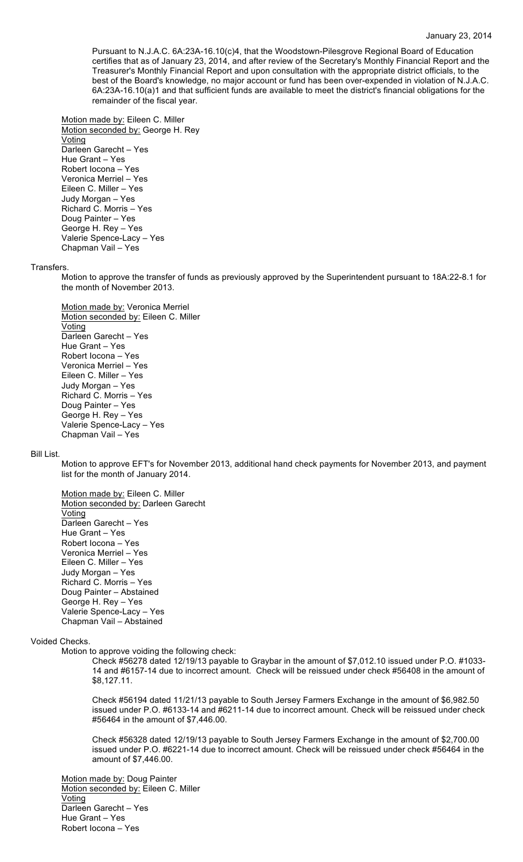#### January 23, 2014

Pursuant to N.J.A.C. 6A:23A-16.10(c)4, that the Woodstown-Pilesgrove Regional Board of Education certifies that as of January 23, 2014, and after review of the Secretary's Monthly Financial Report and the Treasurer's Monthly Financial Report and upon consultation with the appropriate district officials, to the best of the Board's knowledge, no major account or fund has been over-expended in violation of N.J.A.C. 6A:23A-16.10(a)1 and that sufficient funds are available to meet the district's financial obligations for the remainder of the fiscal year.

Motion made by: Eileen C. Miller Motion seconded by: George H. Rey **Voting** Darleen Garecht – Yes Hue Grant – Yes Robert Iocona – Yes Veronica Merriel – Yes Eileen C. Miller – Yes Judy Morgan – Yes Richard C. Morris – Yes Doug Painter – Yes George H. Rey – Yes Valerie Spence-Lacy – Yes Chapman Vail – Yes

#### Transfers.

Motion to approve the transfer of funds as previously approved by the Superintendent pursuant to 18A:22-8.1 for the month of November 2013.

Motion made by: Veronica Merriel Motion seconded by: Eileen C. Miller Voting Darleen Garecht – Yes Hue Grant – Yes Robert Iocona – Yes Veronica Merriel – Yes Eileen C. Miller – Yes Judy Morgan – Yes Richard C. Morris – Yes Doug Painter – Yes George H. Rey – Yes Valerie Spence-Lacy – Yes Chapman Vail – Yes

## Bill List.

Motion to approve EFT's for November 2013, additional hand check payments for November 2013, and payment list for the month of January 2014.

Motion made by: Eileen C. Miller Motion seconded by: Darleen Garecht **Voting** Darleen Garecht – Yes Hue Grant – Yes Robert Iocona – Yes Veronica Merriel – Yes Eileen C. Miller – Yes Judy Morgan – Yes Richard C. Morris – Yes Doug Painter – Abstained George H. Rey – Yes Valerie Spence-Lacy – Yes Chapman Vail – Abstained

## Voided Checks.

Motion to approve voiding the following check:

Check #56278 dated 12/19/13 payable to Graybar in the amount of \$7,012.10 issued under P.O. #1033- 14 and #6157-14 due to incorrect amount. Check will be reissued under check #56408 in the amount of \$8,127.11.

Check #56194 dated 11/21/13 payable to South Jersey Farmers Exchange in the amount of \$6,982.50 issued under P.O. #6133-14 and #6211-14 due to incorrect amount. Check will be reissued under check #56464 in the amount of \$7,446.00.

Check #56328 dated 12/19/13 payable to South Jersey Farmers Exchange in the amount of \$2,700.00 issued under P.O. #6221-14 due to incorrect amount. Check will be reissued under check #56464 in the amount of \$7,446.00.

Motion made by: Doug Painter Motion seconded by: Eileen C. Miller **Voting** Darleen Garecht – Yes Hue Grant – Yes Robert Iocona – Yes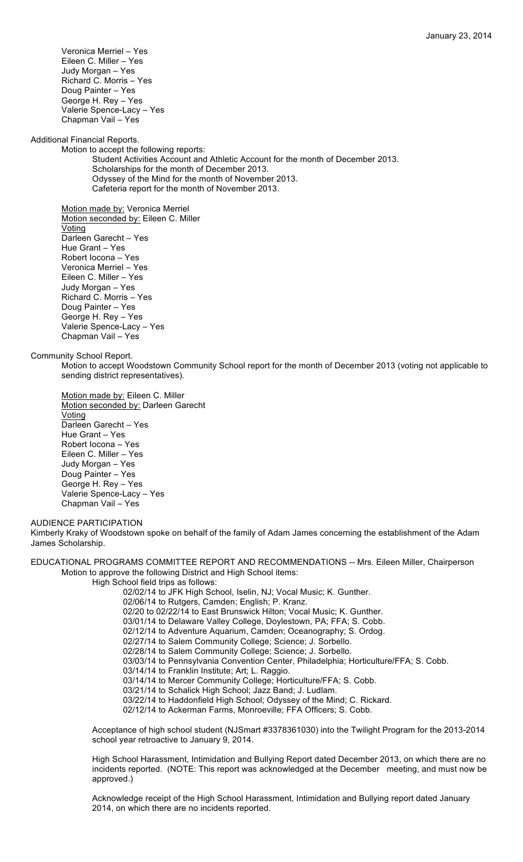Veronica Merriel – Yes Eileen C. Miller – Yes Judy Morgan – Yes Richard C. Morris – Yes Doug Painter – Yes George H. Rey – Yes Valerie Spence-Lacy – Yes Chapman Vail – Yes

Additional Financial Reports.

Motion to accept the following reports:

Student Activities Account and Athletic Account for the month of December 2013. Scholarships for the month of December 2013. Odyssey of the Mind for the month of November 2013. Cafeteria report for the month of November 2013.

Motion made by: Veronica Merriel Motion seconded by: Eileen C. Miller Voting Darleen Garecht – Yes Hue Grant – Yes Robert Iocona – Yes Veronica Merriel – Yes Eileen C. Miller – Yes Judy Morgan – Yes Richard C. Morris – Yes Doug Painter – Yes George H. Rey – Yes Valerie Spence-Lacy – Yes Chapman Vail – Yes

Community School Report.

Motion to accept Woodstown Community School report for the month of December 2013 (voting not applicable to sending district representatives).

Motion made by: Eileen C. Miller Motion seconded by: Darleen Garecht **Voting** Darleen Garecht – Yes Hue Grant – Yes Robert Iocona – Yes Eileen C. Miller – Yes Judy Morgan – Yes Doug Painter – Yes George H. Rey – Yes Valerie Spence-Lacy – Yes Chapman Vail – Yes

## AUDIENCE PARTICIPATION

Kimberly Kraky of Woodstown spoke on behalf of the family of Adam James concerning the establishment of the Adam James Scholarship.

EDUCATIONAL PROGRAMS COMMITTEE REPORT AND RECOMMENDATIONS -- Mrs. Eileen Miller, Chairperson Motion to approve the following District and High School items:

High School field trips as follows:

02/02/14 to JFK High School, Iselin, NJ; Vocal Music; K. Gunther. 02/06/14 to Rutgers, Camden; English; P. Kranz. 02/20 to 02/22/14 to East Brunswick Hilton; Vocal Music; K. Gunther. 03/01/14 to Delaware Valley College, Doylestown, PA; FFA; S. Cobb. 02/12/14 to Adventure Aquarium, Camden; Oceanography; S. Ordog. 02/27/14 to Salem Community College; Science; J. Sorbello. 02/28/14 to Salem Community College; Science; J. Sorbello. 03/03/14 to Pennsylvania Convention Center, Philadelphia; Horticulture/FFA; S. Cobb. 03/14/14 to Franklin Institute; Art; L. Raggio. 03/14/14 to Mercer Community College; Horticulture/FFA; S. Cobb. 03/21/14 to Schalick High School; Jazz Band; J. Ludlam. 03/22/14 to Haddonfield High School; Odyssey of the Mind; C. Rickard. 02/12/14 to Ackerman Farms, Monroeville; FFA Officers; S. Cobb.

Acceptance of high school student (NJSmart #3378361030) into the Twilight Program for the 2013-2014 school year retroactive to January 9, 2014.

High School Harassment, Intimidation and Bullying Report dated December 2013, on which there are no incidents reported. (NOTE: This report was acknowledged at the December meeting, and must now be approved.)

Acknowledge receipt of the High School Harassment, Intimidation and Bullying report dated January 2014, on which there are no incidents reported.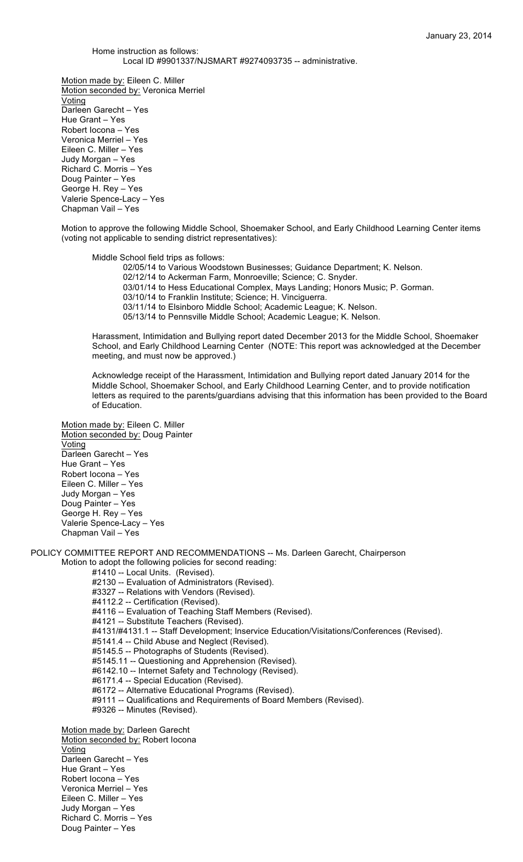#### Home instruction as follows: Local ID #9901337/NJSMART #9274093735 -- administrative.

Motion made by: Eileen C. Miller Motion seconded by: Veronica Merriel Voting Darleen Garecht – Yes Hue Grant – Yes Robert Iocona – Yes Veronica Merriel – Yes Eileen C. Miller – Yes Judy Morgan – Yes Richard C. Morris – Yes Doug Painter – Yes George H. Rey – Yes Valerie Spence-Lacy – Yes Chapman Vail – Yes

Motion to approve the following Middle School, Shoemaker School, and Early Childhood Learning Center items (voting not applicable to sending district representatives):

Middle School field trips as follows:

02/05/14 to Various Woodstown Businesses; Guidance Department; K. Nelson. 02/12/14 to Ackerman Farm, Monroeville; Science; C. Snyder. 03/01/14 to Hess Educational Complex, Mays Landing; Honors Music; P. Gorman. 03/10/14 to Franklin Institute; Science; H. Vinciguerra. 03/11/14 to Elsinboro Middle School; Academic League; K. Nelson. 05/13/14 to Pennsville Middle School; Academic League; K. Nelson.

Harassment, Intimidation and Bullying report dated December 2013 for the Middle School, Shoemaker School, and Early Childhood Learning Center (NOTE: This report was acknowledged at the December meeting, and must now be approved.)

Acknowledge receipt of the Harassment, Intimidation and Bullying report dated January 2014 for the Middle School, Shoemaker School, and Early Childhood Learning Center, and to provide notification letters as required to the parents/guardians advising that this information has been provided to the Board of Education.

Motion made by: Eileen C. Miller Motion seconded by: Doug Painter Voting Darleen Garecht – Yes Hue Grant – Yes Robert Iocona – Yes Eileen C. Miller – Yes Judy Morgan – Yes Doug Painter – Yes George H. Rey – Yes Valerie Spence-Lacy – Yes Chapman Vail – Yes

POLICY COMMITTEE REPORT AND RECOMMENDATIONS -- Ms. Darleen Garecht, Chairperson Motion to adopt the following policies for second reading:

- #1410 -- Local Units. (Revised). #2130 -- Evaluation of Administrators (Revised).
	- #3327 -- Relations with Vendors (Revised).
	- #4112.2 -- Certification (Revised).
	- #4116 -- Evaluation of Teaching Staff Members (Revised).
	- #4121 -- Substitute Teachers (Revised).

#4131/#4131.1 -- Staff Development; Inservice Education/Visitations/Conferences (Revised).

- #5141.4 -- Child Abuse and Neglect (Revised).
- #5145.5 -- Photographs of Students (Revised).

#5145.11 -- Questioning and Apprehension (Revised).

#6142.10 -- Internet Safety and Technology (Revised).

- #6171.4 -- Special Education (Revised).
- #6172 -- Alternative Educational Programs (Revised).
- #9111 -- Qualifications and Requirements of Board Members (Revised).
- #9326 -- Minutes (Revised).

Motion made by: Darleen Garecht Motion seconded by: Robert locona Voting Darleen Garecht – Yes Hue Grant – Yes Robert Iocona – Yes Veronica Merriel – Yes Eileen C. Miller – Yes Judy Morgan – Yes Richard C. Morris – Yes Doug Painter – Yes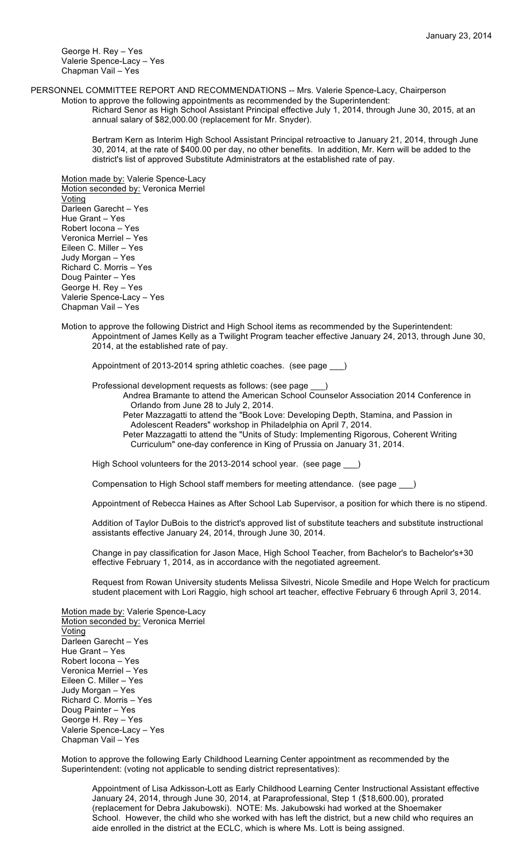George H. Rey – Yes Valerie Spence-Lacy – Yes Chapman Vail – Yes

PERSONNEL COMMITTEE REPORT AND RECOMMENDATIONS -- Mrs. Valerie Spence-Lacy, Chairperson

Motion to approve the following appointments as recommended by the Superintendent: Richard Senor as High School Assistant Principal effective July 1, 2014, through June 30, 2015, at an

annual salary of \$82,000.00 (replacement for Mr. Snyder).

Bertram Kern as Interim High School Assistant Principal retroactive to January 21, 2014, through June 30, 2014, at the rate of \$400.00 per day, no other benefits. In addition, Mr. Kern will be added to the district's list of approved Substitute Administrators at the established rate of pay.

Motion made by: Valerie Spence-Lacy Motion seconded by: Veronica Merriel Voting Darleen Garecht – Yes Hue Grant – Yes Robert Iocona – Yes Veronica Merriel – Yes Eileen C. Miller – Yes Judy Morgan – Yes Richard C. Morris – Yes Doug Painter – Yes George H. Rey – Yes Valerie Spence-Lacy – Yes Chapman Vail – Yes

Motion to approve the following District and High School items as recommended by the Superintendent: Appointment of James Kelly as a Twilight Program teacher effective January 24, 2013, through June 30, 2014, at the established rate of pay.

Appointment of 2013-2014 spring athletic coaches. (see page \_\_\_)

Professional development requests as follows: (see page

Andrea Bramante to attend the American School Counselor Association 2014 Conference in Orlando from June 28 to July 2, 2014.

Peter Mazzagatti to attend the "Book Love: Developing Depth, Stamina, and Passion in Adolescent Readers" workshop in Philadelphia on April 7, 2014.

Peter Mazzagatti to attend the "Units of Study: Implementing Rigorous, Coherent Writing Curriculum" one-day conference in King of Prussia on January 31, 2014.

High School volunteers for the 2013-2014 school year. (see page \_\_\_)

Compensation to High School staff members for meeting attendance. (see page \_\_\_)

Appointment of Rebecca Haines as After School Lab Supervisor, a position for which there is no stipend.

Addition of Taylor DuBois to the district's approved list of substitute teachers and substitute instructional assistants effective January 24, 2014, through June 30, 2014.

Change in pay classification for Jason Mace, High School Teacher, from Bachelor's to Bachelor's+30 effective February 1, 2014, as in accordance with the negotiated agreement.

Request from Rowan University students Melissa Silvestri, Nicole Smedile and Hope Welch for practicum student placement with Lori Raggio, high school art teacher, effective February 6 through April 3, 2014.

Motion made by: Valerie Spence-Lacy Motion seconded by: Veronica Merriel Voting Darleen Garecht – Yes Hue Grant – Yes Robert Iocona – Yes Veronica Merriel – Yes Eileen C. Miller – Yes Judy Morgan – Yes Richard C. Morris – Yes Doug Painter – Yes George H. Rey – Yes Valerie Spence-Lacy – Yes Chapman Vail – Yes

Motion to approve the following Early Childhood Learning Center appointment as recommended by the Superintendent: (voting not applicable to sending district representatives):

Appointment of Lisa Adkisson-Lott as Early Childhood Learning Center Instructional Assistant effective January 24, 2014, through June 30, 2014, at Paraprofessional, Step 1 (\$18,600.00), prorated (replacement for Debra Jakubowski). NOTE: Ms. Jakubowski had worked at the Shoemaker School. However, the child who she worked with has left the district, but a new child who requires an aide enrolled in the district at the ECLC, which is where Ms. Lott is being assigned.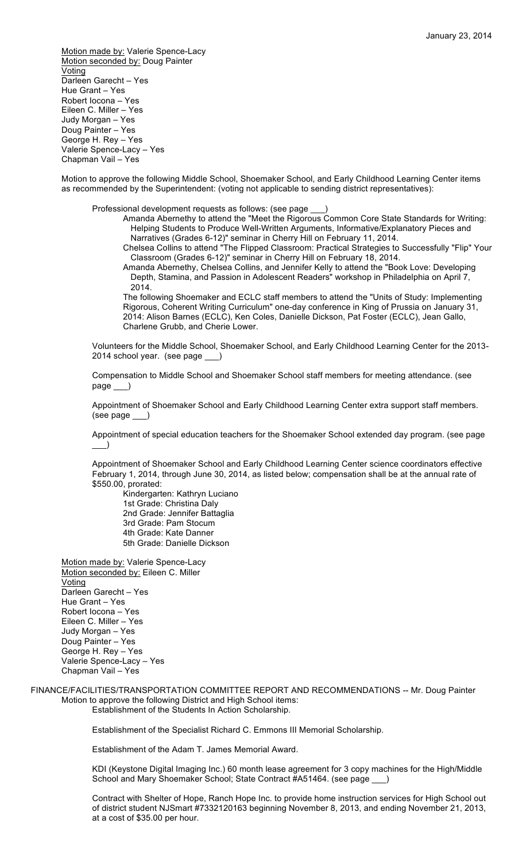Motion made by: Valerie Spence-Lacy Motion seconded by: Doug Painter Voting Darleen Garecht – Yes Hue Grant – Yes Robert Iocona – Yes Eileen C. Miller – Yes Judy Morgan – Yes Doug Painter – Yes George H. Rey – Yes Valerie Spence-Lacy – Yes Chapman Vail – Yes

Motion to approve the following Middle School, Shoemaker School, and Early Childhood Learning Center items as recommended by the Superintendent: (voting not applicable to sending district representatives):

Professional development requests as follows: (see page \_\_\_)

Amanda Abernethy to attend the "Meet the Rigorous Common Core State Standards for Writing: Helping Students to Produce Well-Written Arguments, Informative/Explanatory Pieces and Narratives (Grades 6-12)" seminar in Cherry Hill on February 11, 2014.

Chelsea Collins to attend "The Flipped Classroom: Practical Strategies to Successfully "Flip" Your Classroom (Grades 6-12)" seminar in Cherry Hill on February 18, 2014.

Amanda Abernethy, Chelsea Collins, and Jennifer Kelly to attend the "Book Love: Developing Depth, Stamina, and Passion in Adolescent Readers" workshop in Philadelphia on April 7, 2014.

The following Shoemaker and ECLC staff members to attend the "Units of Study: Implementing Rigorous, Coherent Writing Curriculum" one-day conference in King of Prussia on January 31, 2014: Alison Barnes (ECLC), Ken Coles, Danielle Dickson, Pat Foster (ECLC), Jean Gallo, Charlene Grubb, and Cherie Lower.

Volunteers for the Middle School, Shoemaker School, and Early Childhood Learning Center for the 2013- 2014 school year. (see page \_

Compensation to Middle School and Shoemaker School staff members for meeting attendance. (see  $page$ 

Appointment of Shoemaker School and Early Childhood Learning Center extra support staff members. (see page \_\_\_)

Appointment of special education teachers for the Shoemaker School extended day program. (see page  $\Box$ )

Appointment of Shoemaker School and Early Childhood Learning Center science coordinators effective February 1, 2014, through June 30, 2014, as listed below; compensation shall be at the annual rate of \$550.00, prorated:

Kindergarten: Kathryn Luciano 1st Grade: Christina Daly 2nd Grade: Jennifer Battaglia 3rd Grade: Pam Stocum 4th Grade: Kate Danner 5th Grade: Danielle Dickson

Motion made by: Valerie Spence-Lacy Motion seconded by: Eileen C. Miller **Voting** Darleen Garecht – Yes Hue Grant – Yes Robert Iocona – Yes Eileen C. Miller – Yes Judy Morgan – Yes Doug Painter – Yes George H. Rey – Yes Valerie Spence-Lacy – Yes Chapman Vail – Yes

## FINANCE/FACILITIES/TRANSPORTATION COMMITTEE REPORT AND RECOMMENDATIONS -- Mr. Doug Painter Motion to approve the following District and High School items: Establishment of the Students In Action Scholarship.

Establishment of the Specialist Richard C. Emmons III Memorial Scholarship.

Establishment of the Adam T. James Memorial Award.

KDI (Keystone Digital Imaging Inc.) 60 month lease agreement for 3 copy machines for the High/Middle School and Mary Shoemaker School; State Contract #A51464. (see page

Contract with Shelter of Hope, Ranch Hope Inc. to provide home instruction services for High School out of district student NJSmart #7332120163 beginning November 8, 2013, and ending November 21, 2013, at a cost of \$35.00 per hour.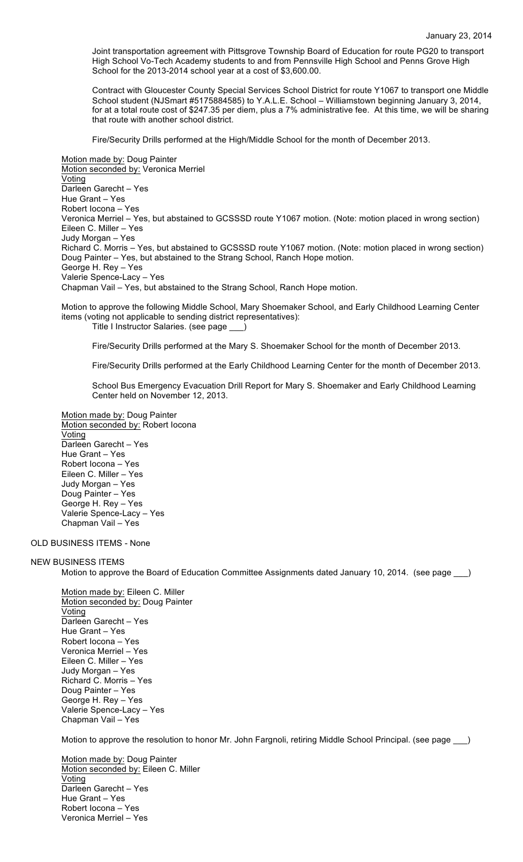Joint transportation agreement with Pittsgrove Township Board of Education for route PG20 to transport High School Vo-Tech Academy students to and from Pennsville High School and Penns Grove High School for the 2013-2014 school year at a cost of \$3,600.00.

Contract with Gloucester County Special Services School District for route Y1067 to transport one Middle School student (NJSmart #5175884585) to Y.A.L.E. School – Williamstown beginning January 3, 2014, for at a total route cost of \$247.35 per diem, plus a 7% administrative fee. At this time, we will be sharing that route with another school district.

Fire/Security Drills performed at the High/Middle School for the month of December 2013.

Motion made by: Doug Painter Motion seconded by: Veronica Merriel Voting Darleen Garecht – Yes Hue Grant – Yes Robert Iocona – Yes Veronica Merriel – Yes, but abstained to GCSSSD route Y1067 motion. (Note: motion placed in wrong section) Eileen C. Miller – Yes Judy Morgan – Yes Richard C. Morris – Yes, but abstained to GCSSSD route Y1067 motion. (Note: motion placed in wrong section) Doug Painter – Yes, but abstained to the Strang School, Ranch Hope motion. George H. Rey – Yes Valerie Spence-Lacy – Yes Chapman Vail – Yes, but abstained to the Strang School, Ranch Hope motion.

Motion to approve the following Middle School, Mary Shoemaker School, and Early Childhood Learning Center items (voting not applicable to sending district representatives): Title I Instructor Salaries. (see page \_\_\_)

Fire/Security Drills performed at the Mary S. Shoemaker School for the month of December 2013.

Fire/Security Drills performed at the Early Childhood Learning Center for the month of December 2013.

School Bus Emergency Evacuation Drill Report for Mary S. Shoemaker and Early Childhood Learning Center held on November 12, 2013.

Motion made by: Doug Painter Motion seconded by: Robert Iocona Voting Darleen Garecht – Yes Hue Grant – Yes Robert Iocona – Yes Eileen C. Miller – Yes Judy Morgan – Yes Doug Painter – Yes George H. Rey – Yes Valerie Spence-Lacy – Yes Chapman Vail – Yes

# OLD BUSINESS ITEMS - None

#### NEW BUSINESS ITEMS

Motion to approve the Board of Education Committee Assignments dated January 10, 2014. (see page \_\_\_)

Motion made by: Eileen C. Miller Motion seconded by: Doug Painter Voting Darleen Garecht – Yes Hue Grant – Yes Robert Iocona – Yes Veronica Merriel – Yes Eileen C. Miller – Yes Judy Morgan – Yes Richard C. Morris – Yes Doug Painter – Yes George H. Rey – Yes Valerie Spence-Lacy – Yes Chapman Vail – Yes

Motion to approve the resolution to honor Mr. John Fargnoli, retiring Middle School Principal. (see page \_\_\_)

Motion made by: Doug Painter Motion seconded by: Eileen C. Miller Voting Darleen Garecht – Yes Hue Grant – Yes Robert Iocona – Yes Veronica Merriel – Yes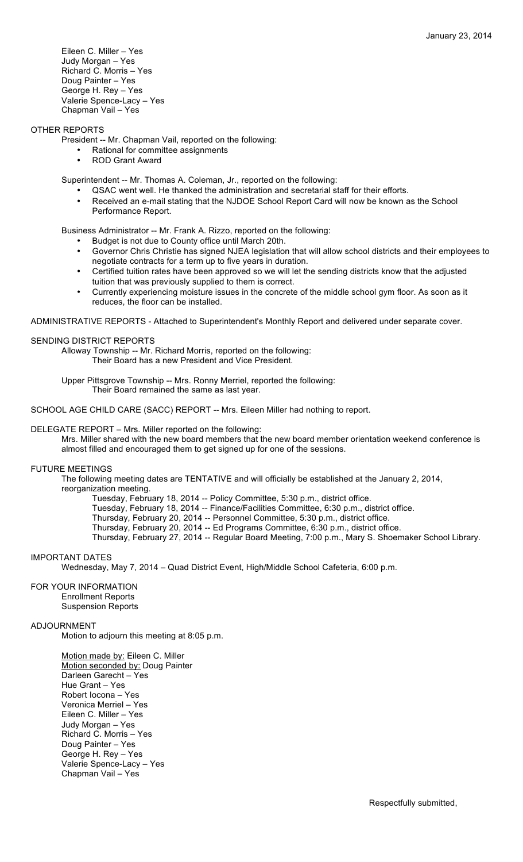Eileen C. Miller – Yes Judy Morgan – Yes Richard C. Morris – Yes Doug Painter – Yes George H. Rey – Yes Valerie Spence-Lacy – Yes Chapman Vail – Yes

## OTHER REPORTS

President -- Mr. Chapman Vail, reported on the following:

- Rational for committee assignments
- ROD Grant Award

Superintendent -- Mr. Thomas A. Coleman, Jr., reported on the following:

- QSAC went well. He thanked the administration and secretarial staff for their efforts.
- Received an e-mail stating that the NJDOE School Report Card will now be known as the School Performance Report.

Business Administrator -- Mr. Frank A. Rizzo, reported on the following:

- Budget is not due to County office until March 20th.
- Governor Chris Christie has signed NJEA legislation that will allow school districts and their employees to negotiate contracts for a term up to five years in duration.
- Certified tuition rates have been approved so we will let the sending districts know that the adjusted tuition that was previously supplied to them is correct.
- Currently experiencing moisture issues in the concrete of the middle school gym floor. As soon as it reduces, the floor can be installed.

ADMINISTRATIVE REPORTS - Attached to Superintendent's Monthly Report and delivered under separate cover.

## SENDING DISTRICT REPORTS

Alloway Township -- Mr. Richard Morris, reported on the following: Their Board has a new President and Vice President.

Upper Pittsgrove Township -- Mrs. Ronny Merriel, reported the following: Their Board remained the same as last year.

SCHOOL AGE CHILD CARE (SACC) REPORT -- Mrs. Eileen Miller had nothing to report.

## DELEGATE REPORT – Mrs. Miller reported on the following:

Mrs. Miller shared with the new board members that the new board member orientation weekend conference is almost filled and encouraged them to get signed up for one of the sessions.

# FUTURE MEETINGS

The following meeting dates are TENTATIVE and will officially be established at the January 2, 2014,

reorganization meeting.

Tuesday, February 18, 2014 -- Policy Committee, 5:30 p.m., district office.

Tuesday, February 18, 2014 -- Finance/Facilities Committee, 6:30 p.m., district office.

Thursday, February 20, 2014 -- Personnel Committee, 5:30 p.m., district office.

Thursday, February 20, 2014 -- Ed Programs Committee, 6:30 p.m., district office.

Thursday, February 27, 2014 -- Regular Board Meeting, 7:00 p.m., Mary S. Shoemaker School Library.

# IMPORTANT DATES

Wednesday, May 7, 2014 – Quad District Event, High/Middle School Cafeteria, 6:00 p.m.

FOR YOUR INFORMATION

Enrollment Reports Suspension Reports

# ADJOURNMENT

Motion to adjourn this meeting at 8:05 p.m.

Motion made by: Eileen C. Miller Motion seconded by: Doug Painter Darleen Garecht – Yes Hue Grant – Yes Robert Iocona – Yes Veronica Merriel – Yes Eileen C. Miller – Yes Judy Morgan – Yes Richard C. Morris – Yes Doug Painter – Yes George H. Rey – Yes Valerie Spence-Lacy – Yes Chapman Vail – Yes